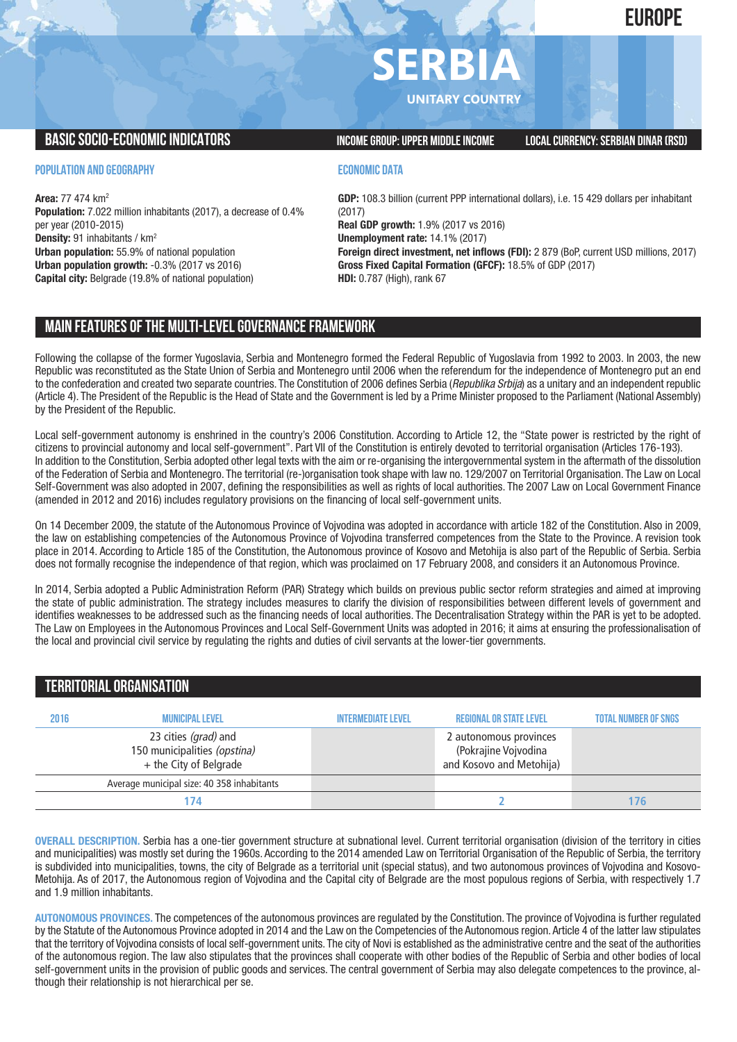# **SERBIA**

**UNITARY COUNTRY**

**BASICSOCIO-ECONOMICINDICATORS INCOMEGROUP:UPPER MIDDLEINCOME LOCALCURRENCY:SERBIAN DINAR (RSD)**

**POPULATION AND GEOGRAPHY**

**Area:** 77 474 km2 **Population:** 7.022 million inhabitants (2017), a decrease of 0.4% per year (2010-2015) **Density:** 91 inhabitants / km2 **Urban population:** 55.9% of national population **Urban population growth:** -0.3% (2017 vs 2016) **Capital city:** Belgrade (19.8% of national population)

## **ECONOMIC DATA**

**GDP:** 108.3 billion (current PPP international dollars), i.e. 15 429 dollars per inhabitant (2017) **Real GDP growth:** 1.9% (2017 vs 2016) **Unemployment rate:** 14.1% (2017) **Foreign direct investment, net inflows (FDI):** 2 879 (BoP, current USD millions, 2017) **Gross Fixed Capital Formation (GFCF):** 18.5% of GDP (2017) **HDI:** 0.787 (High), rank 67

# **MAIN FEATURESOFTHE MULTI-LEVELGOVERNANCEFRAMEWORK**

Following the collapse of the former Yugoslavia, Serbia and Montenegro formed the Federal Republic of Yugoslavia from 1992 to 2003. In 2003, the new Republic was reconstituted as the State Union of Serbia and Montenegro until 2006 when the referendum for the independence of Montenegro put an end to the confederation and created two separate countries. The Constitution of 2006 defines Serbia (*Republika Srbija*) as a unitary and an independent republic (Article 4). The President of the Republic is the Head of State and the Government is led by a Prime Minister proposed to the Parliament (National Assembly) by the President of the Republic.

Local self-government autonomy is enshrined in the country's 2006 Constitution. According to Article 12, the "State power is restricted by the right of citizens to provincial autonomy and local self-government". Part VII of the Constitution is entirely devoted to territorial organisation (Articles 176-193). In addition to the Constitution, Serbia adopted other legal texts with the aim or re-organising the intergovernmental system in the aftermath of the dissolution of the Federation of Serbia and Montenegro. The territorial (re-)organisation took shape with law no. 129/2007 on Territorial Organisation. The Law on Local Self-Government was also adopted in 2007, defining the responsibilities as well as rights of local authorities. The 2007 Law on Local Government Finance (amended in 2012 and 2016) includes regulatory provisions on the financing of local self-government units.

On 14 December 2009, the statute of the Autonomous Province of Vojvodina was adopted in accordance with article 182 of the Constitution. Also in 2009, the law on establishing competencies of the Autonomous Province of Vojvodina transferred competences from the State to the Province. A revision took place in 2014. According to Article 185 of the Constitution, the Autonomous province of Kosovo and Metohija is also part of the Republic of Serbia. Serbia does not formally recognise the independence of that region, which was proclaimed on 17 February 2008, and considers it an Autonomous Province.

In 2014, Serbia adopted a Public Administration Reform (PAR) Strategy which builds on previous public sector reform strategies and aimed at improving the state of public administration. The strategy includes measures to clarify the division of responsibilities between different levels of government and identifies weaknesses to be addressed such as the financing needs of local authorities. The Decentralisation Strategy within the PAR is yet to be adopted. The Law on Employees in the Autonomous Provinces and Local Self-Government Units was adopted in 2016; it aims at ensuring the professionalisation of the local and provincial civil service by regulating the rights and duties of civil servants at the lower-tier governments.

## **TERRITORIALORGANISATION**

| 2016 | <b>MUNICIPAL LEVEL</b>                                                         | <b>INTERMEDIATE LEVEL</b> | <b>REGIONAL OR STATE LEVEL</b>                                             | <b>TOTAL NUMBER OF SNGS</b> |
|------|--------------------------------------------------------------------------------|---------------------------|----------------------------------------------------------------------------|-----------------------------|
|      | 23 cities (grad) and<br>150 municipalities (opstina)<br>+ the City of Belgrade |                           | 2 autonomous provinces<br>(Pokrajine Vojvodina<br>and Kosovo and Metohija) |                             |
|      | Average municipal size: 40 358 inhabitants                                     |                           |                                                                            |                             |
|      | 174                                                                            |                           |                                                                            | <b>16</b>                   |

**OVERALL DESCRIPTION.** Serbia has a one-tier government structure at subnational level. Current territorial organisation (division of the territory in cities and municipalities) was mostly set during the 1960s. According to the 2014 amended Law on Territorial Organisation of the Republic of Serbia, the territory is subdivided into municipalities, towns, the city of Belgrade as a territorial unit (special status), and two autonomous provinces of Vojvodina and Kosovo-Metohija. As of 2017, the Autonomous region of Vojvodina and the Capital city of Belgrade are the most populous regions of Serbia, with respectively 1.7 and 1.9 million inhabitants.

**AUTONOMOUS PROVINCES.** The competences of the autonomous provinces are regulated by the Constitution. The province of Vojvodina is further regulated by the Statute of the Autonomous Province adopted in 2014 and the Law on the Competencies of the Autonomous region. Article 4 of the latter law stipulates that the territory of Vojvodina consists of local self-government units. The city of Novi is established as the administrative centre and the seat of the authorities of the autonomous region. The law also stipulates that the provinces shall cooperate with other bodies of the Republic of Serbia and other bodies of local self-government units in the provision of public goods and services. The central government of Serbia may also delegate competences to the province, although their relationship is not hierarchical per se.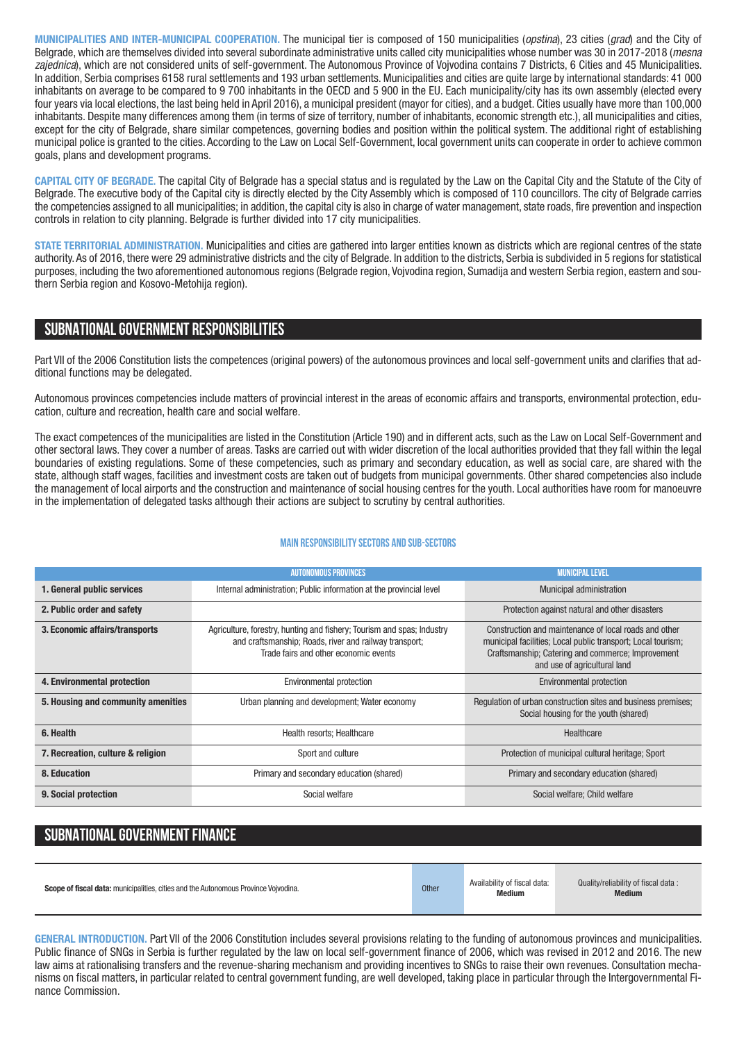**MUNICIPALITIES AND INTER-MUNICIPAL COOPERATION.** The municipal tier is composed of 150 municipalities (*opstina*), 23 cities (*grad*) and the City of Belgrade, which are themselves divided into several subordinate administrative units called city municipalities whose number was 30 in 2017-2018 (*mesna zajednica*), which are not considered units of self-government. The Autonomous Province of Vojvodina contains 7 Districts, 6 Cities and 45 Municipalities. In addition, Serbia comprises 6158 rural settlements and 193 urban settlements. Municipalities and cities are quite large by international standards: 41 000 inhabitants on average to be compared to 9 700 inhabitants in the OECD and 5 900 in the EU. Each municipality/city has its own assembly (elected every four years via local elections, the last being held in April 2016), a municipal president (mayor for cities), and a budget. Cities usually have more than 100,000 inhabitants. Despite many differences among them (in terms of size of territory, number of inhabitants, economic strength etc.), all municipalities and cities, except for the city of Belgrade, share similar competences, governing bodies and position within the political system. The additional right of establishing municipal police is granted to the cities. According to the Law on Local Self-Government, local government units can cooperate in order to achieve common goals, plans and development programs.

**CAPITAL CITY OF BEGRADE.** The capital City of Belgrade has a special status and is regulated by the Law on the Capital City and the Statute of the City of Belgrade. The executive body of the Capital city is directly elected by the City Assembly which is composed of 110 councillors. The city of Belgrade carries the competencies assigned to all municipalities; in addition, the capital city is also in charge of water management, state roads, fire prevention and inspection controls in relation to city planning. Belgrade is further divided into 17 city municipalities.

**STATE TERRITORIAL ADMINISTRATION.** Municipalities and cities are gathered into larger entities known as districts which are regional centres of the state authority. As of 2016, there were 29 administrative districts and the city of Belgrade. In addition to the districts, Serbia is subdivided in 5 regions for statistical purposes, including the two aforementioned autonomous regions (Belgrade region, Vojvodina region, Sumadija and western Serbia region, eastern and southern Serbia region and Kosovo-Metohija region).

## **SUBNATIONALGOVERNMENT RESPONSIBILITIES**

Part VII of the 2006 Constitution lists the competences (original powers) of the autonomous provinces and local self-government units and clarifies that additional functions may be delegated.

Autonomous provinces competencies include matters of provincial interest in the areas of economic affairs and transports, environmental protection, education, culture and recreation, health care and social welfare.

The exact competences of the municipalities are listed in the Constitution (Article 190) and in different acts, such as the Law on Local Self-Government and other sectoral laws. They cover a number of areas. Tasks are carried out with wider discretion of the local authorities provided that they fall within the legal boundaries of existing regulations. Some of these competencies, such as primary and secondary education, as well as social care, are shared with the state, although staff wages, facilities and investment costs are taken out of budgets from municipal governments. Other shared competencies also include the management of local airports and the construction and maintenance of social housing centres for the youth. Local authorities have room for manoeuvre in the implementation of delegated tasks although their actions are subject to scrutiny by central authorities.

### **Main responsibilitysectors and sub-sectors**

|                                    | <b>AUTONOMOUS PROVINCES</b>                                                                                                                                               | <b>MUNICIPAL LEVEL</b>                                                                                                                                                                                     |
|------------------------------------|---------------------------------------------------------------------------------------------------------------------------------------------------------------------------|------------------------------------------------------------------------------------------------------------------------------------------------------------------------------------------------------------|
| 1. General public services         | Internal administration; Public information at the provincial level                                                                                                       | <b>Municipal administration</b>                                                                                                                                                                            |
| 2. Public order and safety         |                                                                                                                                                                           | Protection against natural and other disasters                                                                                                                                                             |
| 3. Economic affairs/transports     | Agriculture, forestry, hunting and fishery; Tourism and spas; Industry<br>and craftsmanship; Roads, river and railway transport;<br>Trade fairs and other economic events | Construction and maintenance of local roads and other<br>municipal facilities; Local public transport; Local tourism;<br>Craftsmanship; Catering and commerce; Improvement<br>and use of agricultural land |
| 4. Environmental protection        | Environmental protection                                                                                                                                                  | Environmental protection                                                                                                                                                                                   |
| 5. Housing and community amenities | Urban planning and development; Water economy                                                                                                                             | Regulation of urban construction sites and business premises;<br>Social housing for the youth (shared)                                                                                                     |
| 6. Health                          | Health resorts: Healthcare                                                                                                                                                | Healthcare                                                                                                                                                                                                 |
| 7. Recreation, culture & religion  | Sport and culture                                                                                                                                                         | Protection of municipal cultural heritage; Sport                                                                                                                                                           |
| 8. Education                       | Primary and secondary education (shared)                                                                                                                                  | Primary and secondary education (shared)                                                                                                                                                                   |
| 9. Social protection               | Social welfare                                                                                                                                                            | Social welfare; Child welfare                                                                                                                                                                              |

# **SUBNATIONAL GOVERNMENT FINANCE**

|  | <b>Scope of fiscal data:</b> municipalities, cities and the Autonomous Province Voivodina. | <b>Other</b> | Availability of fiscal data:<br><b>Medium</b> | Quality/reliability of fiscal data:<br><b>Medium</b> |
|--|--------------------------------------------------------------------------------------------|--------------|-----------------------------------------------|------------------------------------------------------|
|--|--------------------------------------------------------------------------------------------|--------------|-----------------------------------------------|------------------------------------------------------|

**GENERAL INTRODUCTION.** Part VII of the 2006 Constitution includes several provisions relating to the funding of autonomous provinces and municipalities. Public finance of SNGs in Serbia is further regulated by the law on local self-government finance of 2006, which was revised in 2012 and 2016. The new law aims at rationalising transfers and the revenue-sharing mechanism and providing incentives to SNGs to raise their own revenues. Consultation mechanisms on fiscal matters, in particular related to central government funding, are well developed, taking place in particular through the Intergovernmental Finance Commission.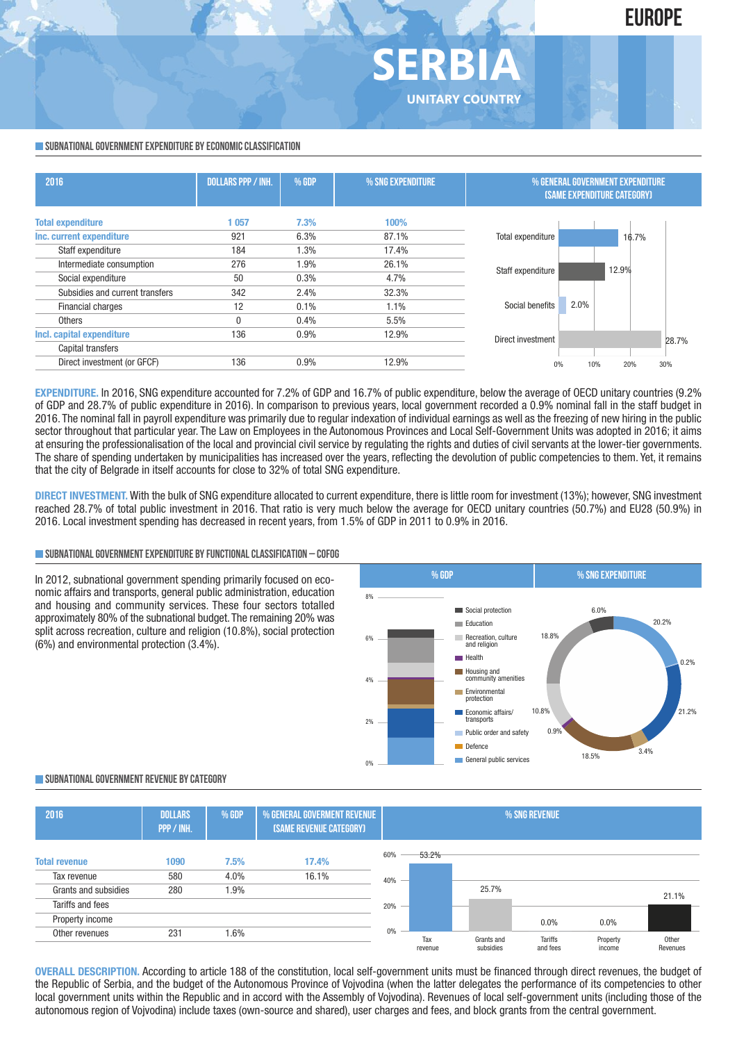

#### **SUBNATIONAL GOVERNMENT EXPENDITURE BY ECONOMIC CLASSIFICATION**

| 2016                            | <b>DOLLARS PPP / INH.</b><br>% GDP<br>% SNG EXPENDITURE |      |       | % GENERAL GOVERNMENT EXPENDITURE<br><b>(SAME EXPENDITURE CATEGORY)</b> |
|---------------------------------|---------------------------------------------------------|------|-------|------------------------------------------------------------------------|
| <b>Total expenditure</b>        | 1057                                                    | 7.3% | 100%  |                                                                        |
| Inc. current expenditure        | 921                                                     | 6.3% | 87.1% | Total expenditure<br>16.7%                                             |
| Staff expenditure               | 184                                                     | 1.3% | 17.4% |                                                                        |
| Intermediate consumption        | 276                                                     | 1.9% | 26.1% | 12.9%<br>Staff expenditure                                             |
| Social expenditure              | 50                                                      | 0.3% | 4.7%  |                                                                        |
| Subsidies and current transfers | 342                                                     | 2.4% | 32.3% |                                                                        |
| <b>Financial charges</b>        | 12                                                      | 0.1% | 1.1%  | 2.0%<br>Social benefits                                                |
| <b>Others</b>                   | 0                                                       | 0.4% | 5.5%  |                                                                        |
| Incl. capital expenditure       | 136                                                     | 0.9% | 12.9% | Direct investment<br>28.7%                                             |
| Capital transfers               |                                                         |      |       |                                                                        |
| Direct investment (or GFCF)     | 136                                                     | 0.9% | 12.9% | 30%<br>10%<br>20%<br>0%                                                |

**ERBI** 

**UNITARY COUNTRY**

**EXPENDITURE.** In 2016, SNG expenditure accounted for 7.2% of GDP and 16.7% of public expenditure, below the average of OECD unitary countries (9.2% of GDP and 28.7% of public expenditure in 2016). In comparison to previous years, local government recorded a 0.9% nominal fall in the staff budget in 2016. The nominal fall in payroll expenditure was primarily due to regular indexation of individual earnings as well as the freezing of new hiring in the public sector throughout that particular year. The Law on Employees in the Autonomous Provinces and Local Self-Government Units was adopted in 2016; it aims at ensuring the professionalisation of the local and provincial civil service by regulating the rights and duties of civil servants at the lower-tier governments. The share of spending undertaken by municipalities has increased over the years, reflecting the devolution of public competencies to them. Yet, it remains that the city of Belgrade in itself accounts for close to 32% of total SNG expenditure.

**DIRECT INVESTMENT.** With the bulk of SNG expenditure allocated to current expenditure, there is little room for investment (13%); however, SNG investment reached 28.7% of total public investment in 2016. That ratio is very much below the average for OECD unitary countries (50.7%) and EU28 (50.9%) in 2016. Local investment spending has decreased in recent years, from 1.5% of GDP in 2011 to 0.9% in 2016.

#### **SUBNATIONALGOVERNMENTEXPENDITURE BYFUNCTIONALCLASSIFICATION – COFOG**

In 2012, subnational government spending primarily focused on economic affairs and transports, general public administration, education and housing and community services. These four sectors totalled approximately 80% of the subnational budget. The remaining 20% was split across recreation, culture and religion (10.8%), social protection (6%) and environmental protection (3.4%).



#### **SUBNATIONALGOVERNMENT REVENUE BYCATEGORY**

| 2016                                                        | <b>DOLLARS</b><br>PPP / INH. | % GDP                | % GENERAL GOVERMENT REVENUE<br>(SAME REVENUE CATEGORY) | % SNG REVENUE   |                |                         |                     |                    |                   |
|-------------------------------------------------------------|------------------------------|----------------------|--------------------------------------------------------|-----------------|----------------|-------------------------|---------------------|--------------------|-------------------|
| <b>Total revenue</b><br>Tax revenue<br>Grants and subsidies | 1090<br>580<br>280           | 7.5%<br>4.0%<br>1.9% | 17.4%<br>16.1%                                         | 60%<br>$40\%$ – | 53.2%          | 25.7%                   |                     |                    |                   |
| Tariffs and fees<br>Property income                         |                              |                      |                                                        | $20\%$ –        |                |                         | $0.0\%$             | $0.0\%$            | 21.1%             |
| Other revenues                                              | 231                          | 1.6%                 |                                                        | 0%              | Tax<br>revenue | Grants and<br>subsidies | Tariffs<br>and fees | Property<br>income | Other<br>Revenues |

**OVERALL DESCRIPTION.** According to article 188 of the constitution, local self-government units must be financed through direct revenues, the budget of the Republic of Serbia, and the budget of the Autonomous Province of Vojvodina (when the latter delegates the performance of its competencies to other local government units within the Republic and in accord with the Assembly of Vojvodina). Revenues of local self-government units (including those of the autonomous region of Vojvodina) include taxes (own-source and shared), user charges and fees, and block grants from the central government.